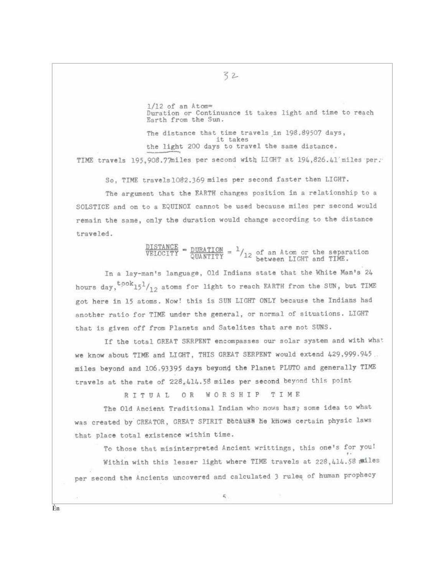$1/12$  of an Atom= Duration or Continuance it takes light and time to reach Earth from the Sun.

The distance that time travels in 198.89507 days, it takes the light 200 days to travel the same distance.

TIME travels 195,908.77miles per second with LIGHT at 194,826.41 miles per.

32

So, TIME travels1082.369 miles per second faster then LIGHT.

The argument that the EARTH changes position in a relationship to a SOLSTICE and on to a EQUINOX cannot be used because miles per second would remain the same, only the duration would change according to the distance traveled.

 $\frac{\texttt{DISTANCE}}{\texttt{VELOCITY}} = \frac{\texttt{DURALATION}}{\texttt{QUANTITY}} = \frac{1}{2} / 12 \text{ of an Atom or the separation between LIGHT and TIME.}$ 

In a lay-man's language, Old Indians state that the White Man's 24 hours day,  $t, \cosh 15^{1}/12$  atoms for light to reach EARTH from the SUN, but TIME got here in 15 atoms. Now! this is SUN LIGHT ONLY because the Indians had another ratio for TIME under the general, or normal of situations. LIGHT that is given off from Planets and Satelites that are not SUNS.

If the total GREAT SKRPENT encompasses our solar system and with what we know about TIME and LIGHT, THIS GREAT SERPENT would extend 429,999.945. miles beyond and 106.93395 days beyond the Planet PLUTO and generally TIME travels at the rate of 228,414.58 miles per second beyond this point

RITUAL OR WORSHIP TIME

The Old Ancient Traditional Indian who nows has; some idea to what was created by CREATOR, GREAT SPIRIT Because he knows certain physic laws that place total existence within time.

To those that misinterpreted Ancient writtings, this one's for you! Within with this lesser light where TIME travels at 228,414.58 miles per second the Ancients uncovered and calculated 3 rules of human prophecy

Én